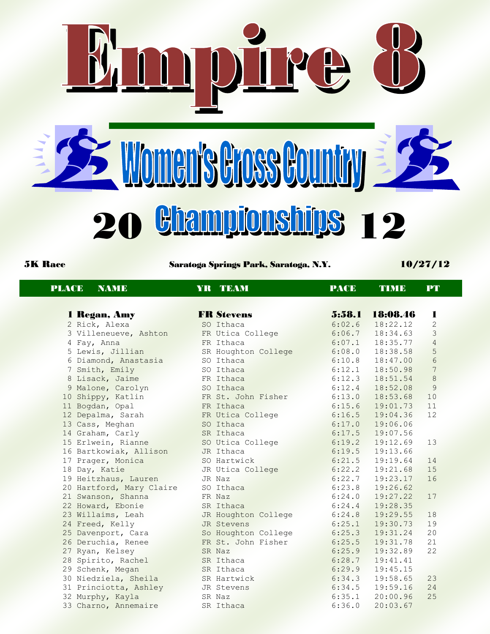E Women's Gross Country **20 Bhampionships 12** 

DIPE

5K Race Saratoga Springs Park, Saratoga, N.Y. 10/27/12

| <b>PLACE</b><br><b>NAME</b> | YR TEAM             | <b>PACE</b> | <b>TIME</b> | PT              |  |
|-----------------------------|---------------------|-------------|-------------|-----------------|--|
|                             |                     |             |             |                 |  |
| 1 Regan, Amy                | <b>FR Stevens</b>   | 5:58.1      | 18:08.46    | 1               |  |
| 2 Rick, Alexa               | SO Ithaca           | 6:02.6      | 18:22.12    | $\mathbf{2}$    |  |
| 3 Villeneueve, Ashton       | FR Utica College    | 6:06.7      | 18:34.63    | 3               |  |
| 4 Fay, Anna                 | FR Ithaca           | 6:07.1      | 18:35.77    | $\sqrt{4}$      |  |
| 5 Lewis, Jillian            | SR Houghton College | 6:08.0      | 18:38.58    | 5               |  |
| 6 Diamond, Anastasia        | SO Ithaca           | 6:10.8      | 18:47.00    | $6\phantom{.}6$ |  |
| 7 Smith, Emily              | SO Ithaca           | 6:12.1      | 18:50.98    | 7               |  |
| 8 Lisack, Jaime             | FR Ithaca           | 6:12.3      | 18:51.54    | 8               |  |
| 9 Malone, Carolyn           | SO Ithaca           | 6:12.4      | 18:52.08    | 9               |  |
| 10 Shippy, Katlin           | FR St. John Fisher  | 6:13.0      | 18:53.68    | 10              |  |
| 11 Bogdan, Opal             | FR Ithaca           | 6:15.6      | 19:01.73    | 11              |  |
| 12 Depalma, Sarah           | FR Utica College    | 6:16.5      | 19:04.36    | 12              |  |
| 13 Cass, Meghan             | SO Ithaca           | 6:17.0      | 19:06.06    |                 |  |
| 14 Graham, Carly            | SR Ithaca           | 6:17.5      | 19:07.56    |                 |  |
| 15 Erlwein, Rianne          | SO Utica College    | 6:19.2      | 19:12.69    | 13              |  |
| 16 Bartkowiak, Allison      | JR Ithaca           | 6:19.5      | 19:13.66    |                 |  |
| 17 Prager, Monica           | SO Hartwick         | 6:21.5      | 19:19.64    | 14              |  |
| 18 Day, Katie               | JR Utica College    | 6:22.2      | 19:21.68    | 15              |  |
| 19 Heitzhaus, Lauren        | JR Naz              | 6:22.7      | 19:23.17    | 16              |  |
| 20 Hartford, Mary Claire    | SO Ithaca           | 6:23.8      | 19:26.62    |                 |  |
| 21 Swanson, Shanna          | FR Naz              | 6:24.0      | 19:27.22    | 17              |  |
| 22 Howard, Ebonie           | SR Ithaca           | 6:24.4      | 19:28.35    |                 |  |
| 23 Willaims, Leah           | JR Houghton College | 6:24.8      | 19:29.55    | 18              |  |
| 24 Freed, Kelly             | JR Stevens          | 6:25.1      | 19:30.73    | 19              |  |
| 25 Davenport, Cara          | So Houghton College | 6:25.3      | 19:31.24    | 20              |  |
| 26 Deruchia, Renee          | FR St. John Fisher  | 6:25.5      | 19:31.78    | 21              |  |
| 27 Ryan, Kelsey             | SR Naz              | 6:25.9      | 19:32.89    | 22              |  |
| 28 Spirito, Rachel          | SR Ithaca           | 6:28.7      | 19:41.41    |                 |  |
| 29 Schenk, Megan            | SR Ithaca           | 6:29.9      | 19:45.15    |                 |  |
| 30 Niedziela, Sheila        | SR Hartwick         | 6:34.3      | 19:58.65    | 23              |  |
| 31 Princiotta, Ashley       | JR Stevens          | 6:34.5      | 19:59.16    | 24              |  |
| 32 Murphy, Kayla            | SR Naz              | 6:35.1      | 20:00.96    | 25              |  |
| 33 Charno, Annemaire        | SR Ithaca           | 6:36.0      | 20:03.67    |                 |  |
|                             |                     |             |             |                 |  |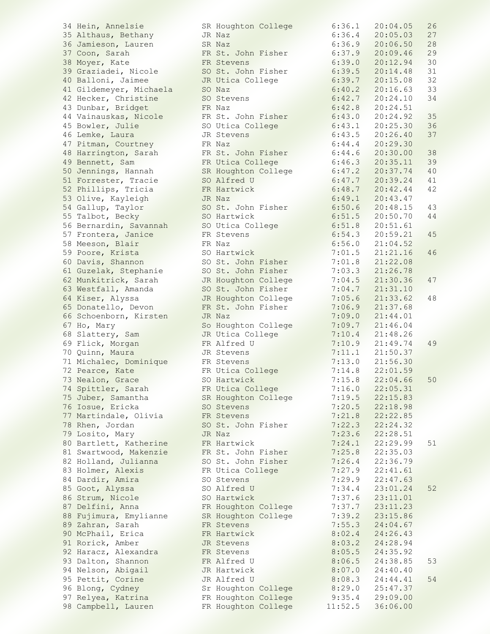34 Hein, Annelsie SR Houghton College<br>35 Althaus, Bethany GR Naz 35 Althaus, Bethany JR Naz 6:36.4 20:05.03 27 36 Jamieson, Lauren SR Naz 6:36.9 20:06.50 28 37 Coon, Sarah FR St. John Fisher 6:37.9 20:09.46 29 38 Moyer, Kate FR Stevens 6:39.0 20:12.94 30 39 Graziadei, Nicole SO St. John Fisher 6:39.5 20:14.48 31 40 Balloni, Jaimee JR Utica College 6:39.7 20:15.08 32 41 Gildemeyer, Michaela SO Naz 6:40.2 20:16.63 33 42 Hecker, Christine SO Stevens 6:42.7 20:24.10 34 43 Dunbar, Bridget FR Naz 6:42.8 20:24.51 44 Vainauskas, Nicole FR St. John Fisher 6:43.0 20:24.92 35 45 Bowler, Julie SO Utica College 6:43.1 20:25.30 36 46 Lemke, Laura JR Stevens 6:43.5 20:26.40 37 47 Pitman, Courtney FR Naz 6:44.4 20:29.30 48 Harrington, Sarah FR St. John Fisher 6:44.6 20:30.00 38 49 Bennett, Sam FR Utica College 6:46.3 20:35.11 39 50 Jennings, Hannah SR Houghton College 6:47.2 20:37.74 40 51 Forrester, Tracie SO Alfred U 6:47.7 20:39.24 41 52 Phillips, Tricia FR Hartwick 6:48.7 20:42.44 42 53 Olive, Kayleigh JR Naz 6:49.1 20:43.47 54 Gallup, Taylor SO St. John Fisher 6:50.6 20:48.15 43 55 Talbot, Becky SO Hartwick 6:51.5 20:50.70 44 56 Bernardin, Savannah SO Utica College 6:51.8 20:51.61 57 Frontera, Janice FR Stevens 6:54.3 20:59.21 45 58 Meeson, Blair FR Naz 6:56.0 21:04.52 59 Poore, Krista SO Hartwick 7:01.5 21:21.16 46 60 Davis, Shannon SO St. John Fisher 7:01.8 21:22.08 61 Guzelak, Stephanie SO St. John Fisher 7:03.3 21:26.78 62 Munkitrick, Sarah JR Houghton College 7:04.5 21:30.36 47 63 Westfall, Amanda SO St. John Fisher 7:04.7 21:31.10 64 Kiser, Alyssa JR Houghton College 7:05.6 21:33.62 48 65 Donatello, Devon FR St. John Fisher 7:06.9 21:37.68 66 Schoenborn, Kirsten JR Naz 7:09.0 21:44.01 67 Ho, Mary So Houghton College 7:09.7 21:46.04 68 Slattery, Sam JR Utica College 7:10.4 21:48.26 69 Flick, Morgan FR Alfred U 7:10.9 21:49.74 49 70 Quinn, Maura JR Stevens 7:11.1 21:50.37 71 Michalec, Dominique FR Stevens 7:13.0 21:56.30 72 Pearce, Kate FR Utica College 7:14.8 22:01.59 73 Nealon, Grace SO Hartwick 7:15.8 22:04.66 50 74 Spittler, Sarah FR Utica College 7:16.0 22:05.31 75 Juber, Samantha SR Houghton College 7:19.5 22:15.83 76 Iosue, Ericka SO Stevens 7:20.5 22:18.98 77 Martindale, Olivia FR Stevens 7:21.8 22:22.85 78 Rhen, Jordan SO St. John Fisher 7:22.3 22:24.32 79 Losito, Mary JR Naz 7:23.6 22:28.51 80 Bartlett, Katherine FR Hartwick 7:24.1 22:29.99 51 81 Swartwood, Makenzie FR St. John Fisher 7:25.8 22:35.03 82 Holland, Julianna SO St. John Fisher 7:26.4 22:36.79 83 Holmer, Alexis FR Utica College 7:27.9 22:41.61 84 Dardir, Amira SO Stevens 7:29.9 22:47.63 85 Goot, Alyssa SO Alfred U 7:34.4 23:01.24 52 86 Strum, Nicole SO Hartwick 7:37.6 23:11.01 87 Delfini, Anna FR Houghton College 7:37.7 23:11.23 88 Fujimura, Emylianne SR Houghton College 7:39.2 23:15.86 89 Zahran, Sarah FR Stevens 7:55.3 24:04.67 90 McPhail, Erica FR Hartwick 8:02.4 24:26.43 91 Rorick, Amber JR Stevens 8:03.2 24:28.94 92 Haracz, Alexandra FR Stevens 8:05.5 24:35.92 93 Dalton, Shannon FR Alfred U 8:06.5 24:38.85 53 94 Nelson, Abigail JR Hartwick 8:07.0 24:40.40 95 Pettit, Corine JR Alfred U 8:08.3 24:44.41 54 96 Blong, Cydney Sr Houghton College 8:29.0 25:47.37 97 Relyea, Katrina FR Houghton College 9:35.4 29:09.00 98 Campbell, Lauren FR Houghton College 11:52.5 36:06.00

| 6:36.1                 | 20:04.05                                | 26     |
|------------------------|-----------------------------------------|--------|
| 6:36.4                 | 20:05.03                                | 27     |
| 6:36.9                 | .50<br>20:06                            | 28     |
| 6:37<br>. 9            | 20:09.46                                | 29     |
| 6:39.0                 | 20:12.94                                | 30     |
| 6:39.5                 | 20:<br>14.48                            | 31     |
|                        |                                         |        |
| 6:39.7                 | 15.08<br>20:                            | 32     |
| 6:40.2                 | 20:16.63                                | 33     |
| 6:42<br>7              | 20:24.10                                | 34     |
| 6:42.8                 | 20:24.<br>51                            |        |
| 6:43.0                 | 20:24.<br>92                            | 35     |
| 6:43.<br>$\mathbf{1}$  | 20:25.30                                | 36     |
| 6:43.5                 | 20:26.40                                | 37     |
| 6:44.4                 | 20:29.30                                |        |
| 6:44.6                 | 20:30.00                                | 38     |
| 6:46.3                 | 20:35.11                                | 39     |
| 6:47<br>$\cdot$ 2      | 20:37.74                                | 40     |
| 6:47<br>7              | 20:39.24                                | 41     |
| 6:48<br>$\overline{7}$ | 20:42.44                                | 42     |
| 6:49.1                 | 20:43.47                                |        |
| 6:50.6                 | 20:48.<br>15                            | 43     |
| 6:51.5                 | 20:50.70                                | $4\,4$ |
| 6:51.8                 | 20:51.61                                |        |
| 6:54.3                 |                                         | 45     |
|                        | 20:59.21                                |        |
| 6:56.0                 | 21:04.52                                |        |
| 7:01.5                 | 21:21.16                                | 46     |
| 7:01.8                 | 21:<br>22.<br>08                        |        |
| 7:03.<br>3             | 21:26.<br>78                            |        |
| 7:04.<br>5             | 21:30.<br>36                            | 47     |
| : 04.<br>7<br>7        | 21:31<br>.10                            |        |
| 7:05.6                 | 21:33.62                                | 48     |
| 7:06.9                 | 21:<br>37.68                            |        |
| 7:09.0                 | 21:44.01                                |        |
| 7:09.7                 | 21:46.04                                |        |
| 7:10.4                 | 21:48.26                                |        |
| 7:10.9                 | 21:49.<br>74                            | 49     |
| 7:11.1                 | 21:50.<br>37                            |        |
| 7:13.0                 | 21:56.30                                |        |
| 7:14.8                 | 22:01.<br>59                            |        |
| $\cdot$ 8<br>7:15      | 22:04<br>66                             | 50     |
| 7:16<br>$\cdot$ 0      | 22:<br>05<br>31<br>$\ddot{\phantom{0}}$ |        |
| 7:19.5                 | 15.<br>83<br>22:                        |        |
|                        |                                         |        |
| 7:20<br>.5             | 18.98<br>22:                            |        |
| 7:21.8                 | 22:22.<br>85                            |        |
| 7:22<br>$\cdot$ 3      | 22:24.<br>32                            |        |
| 7:23<br>.6             | 22:28.<br>51                            |        |
| 7:24.1                 | 22:29.99                                | 51     |
| 7:25.8                 | 22:35.<br>03                            |        |
| 7:26.4                 | 36.<br>22:<br>79                        |        |
| 27.9<br>7:             | 22:<br>$41$ .<br>61                     |        |
| 7:29.9                 | 22:<br>47.63                            |        |
| 7:34.4                 | 23:01.24                                | 52     |
| :37<br>.6<br>7         | 23:<br>11.01                            |        |
| 37<br>7:<br>7          | 23:<br>11.<br>23                        |        |
| 7:39<br>$\cdot$ 2      | 23:15.86                                |        |
| :55<br>$\cdot$ 3<br>7  | 24:04.<br>67                            |        |
| 8:02<br>$\cdot$ 4      | 24:26.43                                |        |
| 03.2<br>8:             | 24:28.<br>94                            |        |
|                        |                                         |        |
|                        |                                         |        |
| 05.5<br>8:             | 24:35.<br>92                            |        |
| 8:06.5                 | 24:38.85                                | 53     |
| 8:07.0                 | 40.40<br>24:                            |        |
| 8:08<br>$\cdot$ 3      | 24:<br>44.41                            | 54     |
| 8:29.0                 | 25:<br>47.<br>37                        |        |
| 9:35.4<br>1:52.5       | 29:09.00<br>36:06.00                    |        |